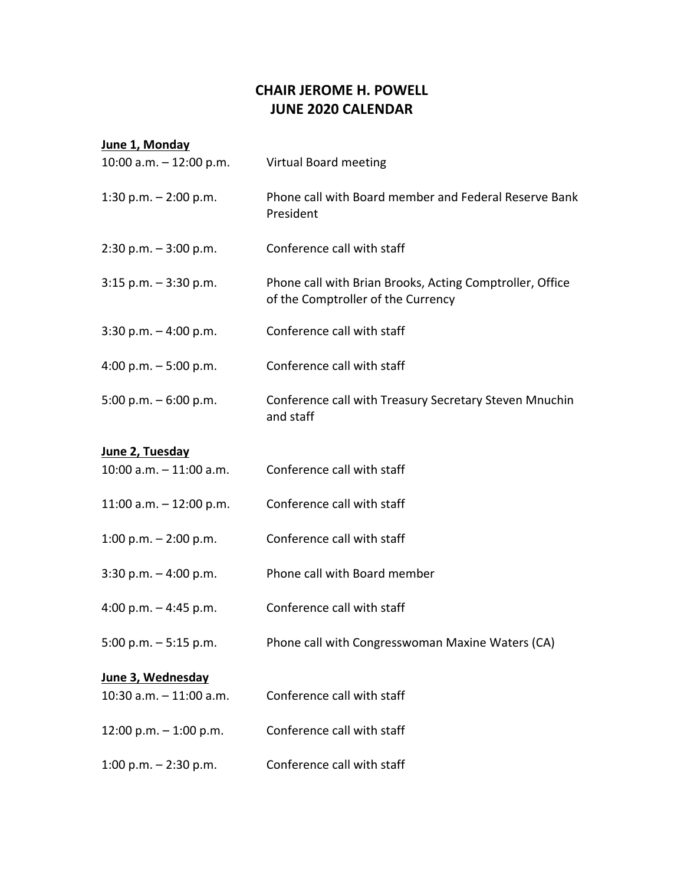## **CHAIR JEROME H. POWELL JUNE 2020 CALENDAR**

## **June 1, Monday** 10:00 a.m. – 12:00 p.m. Virtual Board meeting 1:30 p.m. – 2:00 p.m. Phone call with Board member and Federal Reserve Bank President 2:30 p.m. – 3:00 p.m. Conference call with staff 3:15 p.m. – 3:30 p.m. Phone call with Brian Brooks, Acting Comptroller, Office of the Comptroller of the Currency 3:30 p.m. – 4:00 p.m. Conference call with staff 4:00 p.m. – 5:00 p.m. Conference call with staff 5:00 p.m. – 6:00 p.m. Conference call with Treasury Secretary Steven Mnuchin and staff **June 2, Tuesday** 10:00 a.m. – 11:00 a.m. Conference call with staff 11:00 a.m. – 12:00 p.m. Conference call with staff 1:00 p.m. – 2:00 p.m. Conference call with staff 3:30 p.m. – 4:00 p.m. Phone call with Board member

- 4:00 p.m. 4:45 p.m. Conference call with staff
- 5:00 p.m. 5:15 p.m. Phone call with Congresswoman Maxine Waters (CA)

## **June 3, Wednesday**

| 10:30 $a.m. - 11:00 a.m.$ | Conference call with staff |
|---------------------------|----------------------------|
| $12:00$ p.m. $-1:00$ p.m. | Conference call with staff |
| 1:00 p.m. $-$ 2:30 p.m.   | Conference call with staff |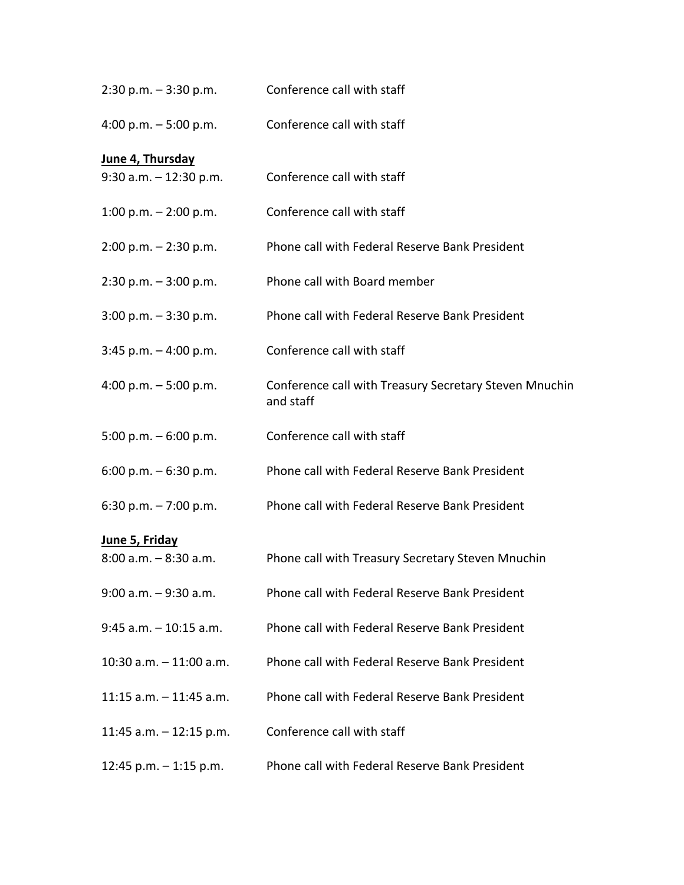| $2:30$ p.m. $-3:30$ p.m.   | Conference call with staff                                          |
|----------------------------|---------------------------------------------------------------------|
| 4:00 p.m. $-5:00$ p.m.     | Conference call with staff                                          |
| June 4, Thursday           |                                                                     |
| $9:30$ a.m. $-12:30$ p.m.  | Conference call with staff                                          |
| 1:00 p.m. $-$ 2:00 p.m.    | Conference call with staff                                          |
| $2:00$ p.m. $-2:30$ p.m.   | Phone call with Federal Reserve Bank President                      |
| $2:30$ p.m. $-3:00$ p.m.   | Phone call with Board member                                        |
| $3:00$ p.m. $-3:30$ p.m.   | Phone call with Federal Reserve Bank President                      |
| $3:45$ p.m. $-4:00$ p.m.   | Conference call with staff                                          |
| 4:00 p.m. $-5:00$ p.m.     | Conference call with Treasury Secretary Steven Mnuchin<br>and staff |
| 5:00 p.m. $-6:00$ p.m.     | Conference call with staff                                          |
| 6:00 p.m. $-$ 6:30 p.m.    | Phone call with Federal Reserve Bank President                      |
| 6:30 p.m. $-7:00$ p.m.     | Phone call with Federal Reserve Bank President                      |
| June 5, Friday             |                                                                     |
| $8:00$ a.m. $-8:30$ a.m.   | Phone call with Treasury Secretary Steven Mnuchin                   |
| $9:00$ a.m. $-9:30$ a.m.   | Phone call with Federal Reserve Bank President                      |
| $9:45$ a.m. $-10:15$ a.m.  | Phone call with Federal Reserve Bank President                      |
| $10:30$ a.m. $-11:00$ a.m. | Phone call with Federal Reserve Bank President                      |
| 11:15 $a.m. - 11:45 a.m.$  | Phone call with Federal Reserve Bank President                      |
| 11:45 a.m. $-$ 12:15 p.m.  | Conference call with staff                                          |
| 12:45 p.m. $-$ 1:15 p.m.   | Phone call with Federal Reserve Bank President                      |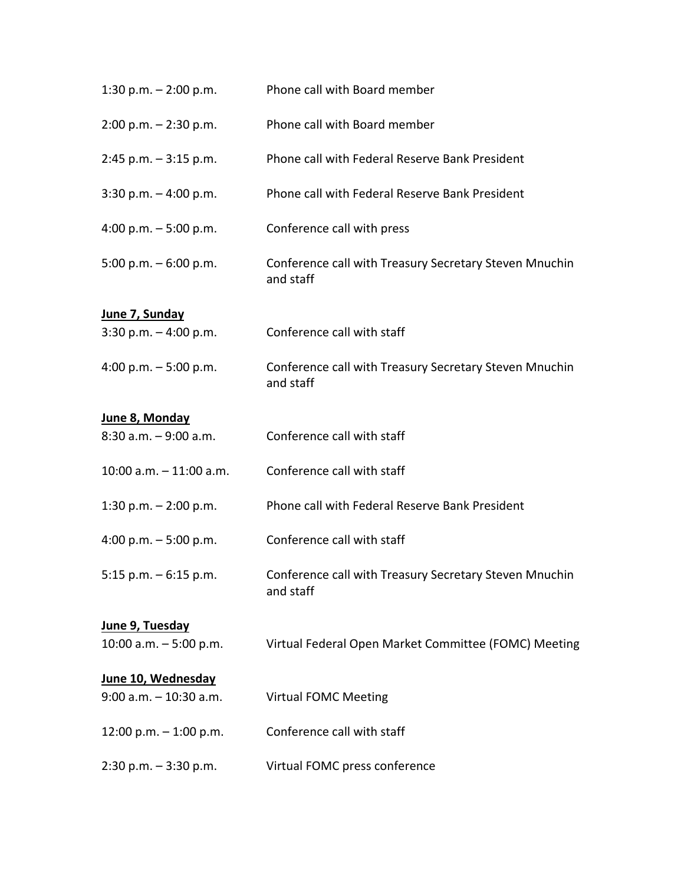| 1:30 p.m. $- 2:00$ p.m.    | Phone call with Board member                                        |
|----------------------------|---------------------------------------------------------------------|
| $2:00$ p.m. $-2:30$ p.m.   | Phone call with Board member                                        |
| $2:45$ p.m. $-3:15$ p.m.   | Phone call with Federal Reserve Bank President                      |
| $3:30$ p.m. $-4:00$ p.m.   | Phone call with Federal Reserve Bank President                      |
| 4:00 p.m. $-5:00$ p.m.     | Conference call with press                                          |
| 5:00 p.m. $-6:00$ p.m.     | Conference call with Treasury Secretary Steven Mnuchin<br>and staff |
| June 7, Sunday             |                                                                     |
| 3:30 p.m. $-$ 4:00 p.m.    | Conference call with staff                                          |
| 4:00 p.m. $-5:00$ p.m.     | Conference call with Treasury Secretary Steven Mnuchin<br>and staff |
| June 8, Monday             |                                                                     |
| $8:30$ a.m. $-9:00$ a.m.   | Conference call with staff                                          |
| $10:00$ a.m. $-11:00$ a.m. | Conference call with staff                                          |
| 1:30 p.m. $- 2:00$ p.m.    | Phone call with Federal Reserve Bank President                      |
| 4:00 p.m. $-5:00$ p.m.     | Conference call with staff                                          |
| 5:15 p.m. $-6:15$ p.m.     | Conference call with Treasury Secretary Steven Mnuchin<br>and staff |
| June 9, Tuesday            |                                                                     |
| 10:00 a.m. $-5:00$ p.m.    | Virtual Federal Open Market Committee (FOMC) Meeting                |
| June 10, Wednesday         |                                                                     |
| $9:00$ a.m. $-10:30$ a.m.  | <b>Virtual FOMC Meeting</b>                                         |
| 12:00 p.m. $-$ 1:00 p.m.   | Conference call with staff                                          |
| $2:30$ p.m. $-3:30$ p.m.   | Virtual FOMC press conference                                       |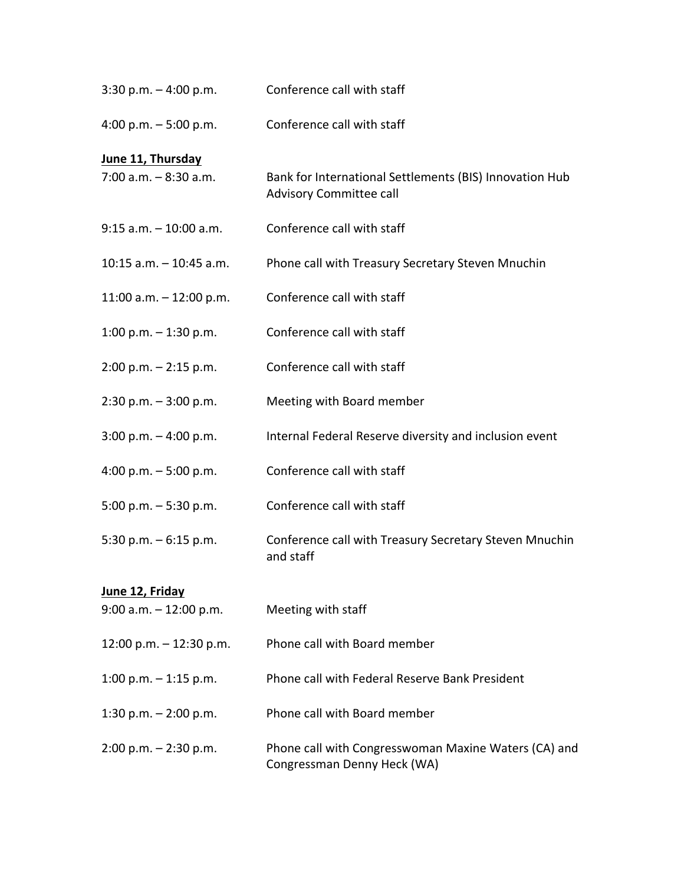| $3:30$ p.m. $-4:00$ p.m.   | Conference call with staff                                                          |
|----------------------------|-------------------------------------------------------------------------------------|
| 4:00 p.m. $-5:00$ p.m.     | Conference call with staff                                                          |
| June 11, Thursday          |                                                                                     |
| $7:00$ a.m. $-8:30$ a.m.   | Bank for International Settlements (BIS) Innovation Hub<br>Advisory Committee call  |
| $9:15$ a.m. $-10:00$ a.m.  | Conference call with staff                                                          |
| $10:15$ a.m. $-10:45$ a.m. | Phone call with Treasury Secretary Steven Mnuchin                                   |
| 11:00 a.m. $-$ 12:00 p.m.  | Conference call with staff                                                          |
| 1:00 p.m. $-$ 1:30 p.m.    | Conference call with staff                                                          |
| $2:00$ p.m. $-2:15$ p.m.   | Conference call with staff                                                          |
| $2:30$ p.m. $-3:00$ p.m.   | Meeting with Board member                                                           |
| $3:00$ p.m. $-4:00$ p.m.   | Internal Federal Reserve diversity and inclusion event                              |
| 4:00 p.m. $-5:00$ p.m.     | Conference call with staff                                                          |
| 5:00 p.m. $-$ 5:30 p.m.    | Conference call with staff                                                          |
| 5:30 p.m. $-6:15$ p.m.     | Conference call with Treasury Secretary Steven Mnuchin<br>and staff                 |
| <u>June 12, Friday</u>     |                                                                                     |
| 9:00 a.m. - 12:00 p.m.     | Meeting with staff                                                                  |
| 12:00 p.m. - 12:30 p.m.    | Phone call with Board member                                                        |
| 1:00 p.m. $-$ 1:15 p.m.    | Phone call with Federal Reserve Bank President                                      |
| 1:30 p.m. $- 2:00$ p.m.    | Phone call with Board member                                                        |
| $2:00$ p.m. $-2:30$ p.m.   | Phone call with Congresswoman Maxine Waters (CA) and<br>Congressman Denny Heck (WA) |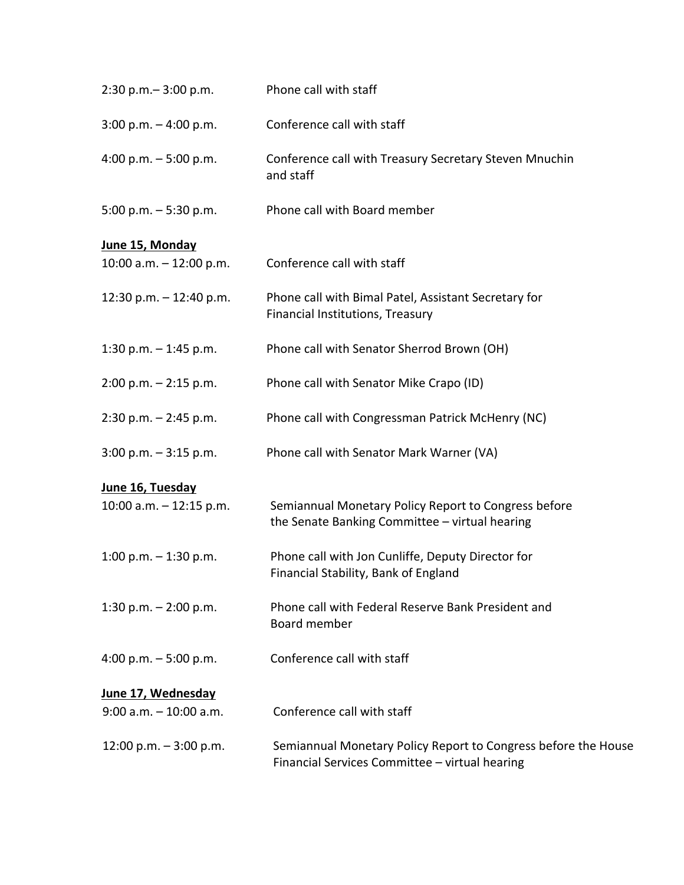| $2:30$ p.m. $-3:00$ p.m.  | Phone call with staff                                                                                            |
|---------------------------|------------------------------------------------------------------------------------------------------------------|
| $3:00$ p.m. $-4:00$ p.m.  | Conference call with staff                                                                                       |
| 4:00 p.m. $-5:00$ p.m.    | Conference call with Treasury Secretary Steven Mnuchin<br>and staff                                              |
| 5:00 p.m. $-$ 5:30 p.m.   | Phone call with Board member                                                                                     |
| June 15, Monday           |                                                                                                                  |
| 10:00 a.m. $-$ 12:00 p.m. | Conference call with staff                                                                                       |
| 12:30 p.m. $-$ 12:40 p.m. | Phone call with Bimal Patel, Assistant Secretary for<br>Financial Institutions, Treasury                         |
| 1:30 p.m. $-$ 1:45 p.m.   | Phone call with Senator Sherrod Brown (OH)                                                                       |
| $2:00$ p.m. $-2:15$ p.m.  | Phone call with Senator Mike Crapo (ID)                                                                          |
| $2:30$ p.m. $-2:45$ p.m.  | Phone call with Congressman Patrick McHenry (NC)                                                                 |
| $3:00$ p.m. $-3:15$ p.m.  | Phone call with Senator Mark Warner (VA)                                                                         |
| June 16, Tuesday          |                                                                                                                  |
| 10:00 a.m. $-$ 12:15 p.m. | Semiannual Monetary Policy Report to Congress before<br>the Senate Banking Committee - virtual hearing           |
| 1:00 p.m. $-$ 1:30 p.m.   | Phone call with Jon Cunliffe, Deputy Director for<br>Financial Stability, Bank of England                        |
| 1:30 p.m. $- 2:00$ p.m.   | Phone call with Federal Reserve Bank President and<br>Board member                                               |
| 4:00 p.m. $-5:00$ p.m.    | Conference call with staff                                                                                       |
| June 17, Wednesday        |                                                                                                                  |
| $9:00$ a.m. $-10:00$ a.m. | Conference call with staff                                                                                       |
| 12:00 p.m. $-3:00$ p.m.   | Semiannual Monetary Policy Report to Congress before the House<br>Financial Services Committee - virtual hearing |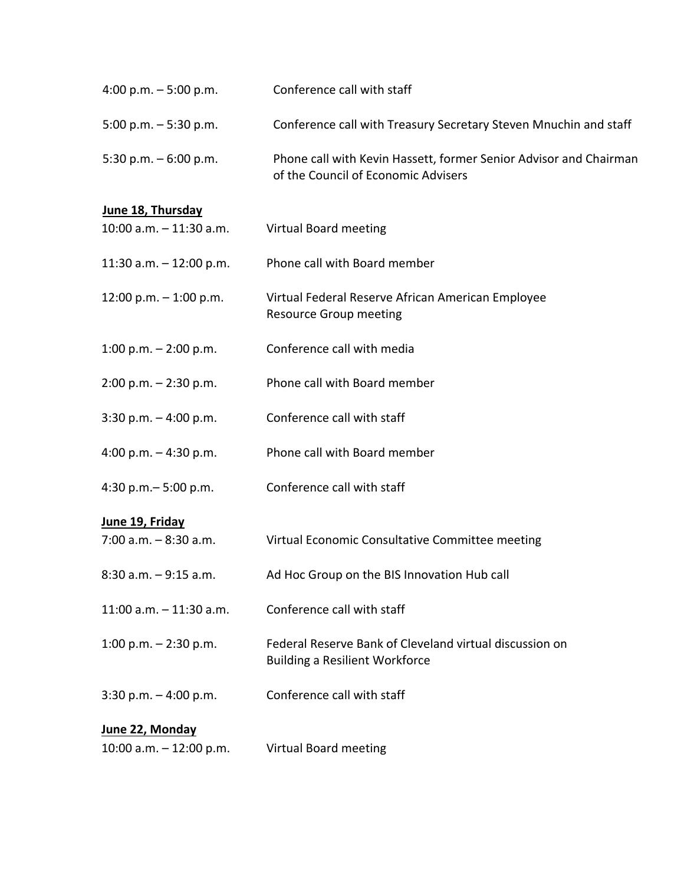| 4:00 p.m. $-5:00$ p.m.     | Conference call with staff                                                                               |
|----------------------------|----------------------------------------------------------------------------------------------------------|
| 5:00 p.m. $-$ 5:30 p.m.    | Conference call with Treasury Secretary Steven Mnuchin and staff                                         |
| 5:30 p.m. $-6:00$ p.m.     | Phone call with Kevin Hassett, former Senior Advisor and Chairman<br>of the Council of Economic Advisers |
| June 18, Thursday          |                                                                                                          |
| $10:00$ a.m. $-11:30$ a.m. | <b>Virtual Board meeting</b>                                                                             |
| 11:30 a.m. $-$ 12:00 p.m.  | Phone call with Board member                                                                             |
| 12:00 p.m. $-$ 1:00 p.m.   | Virtual Federal Reserve African American Employee<br><b>Resource Group meeting</b>                       |
| 1:00 p.m. $-$ 2:00 p.m.    | Conference call with media                                                                               |
| $2:00$ p.m. $-2:30$ p.m.   | Phone call with Board member                                                                             |
| $3:30$ p.m. $-4:00$ p.m.   | Conference call with staff                                                                               |
| 4:00 p.m. $-$ 4:30 p.m.    | Phone call with Board member                                                                             |
| 4:30 p.m. $-$ 5:00 p.m.    | Conference call with staff                                                                               |
| June 19, Friday            |                                                                                                          |
| $7:00$ a.m. $-8:30$ a.m.   | Virtual Economic Consultative Committee meeting                                                          |
| $8:30$ a.m. $-9:15$ a.m.   | Ad Hoc Group on the BIS Innovation Hub call                                                              |
| $11:00$ a.m. $-11:30$ a.m. | Conference call with staff                                                                               |
| 1:00 p.m. $-$ 2:30 p.m.    | Federal Reserve Bank of Cleveland virtual discussion on<br><b>Building a Resilient Workforce</b>         |
| $3:30$ p.m. $-4:00$ p.m.   | Conference call with staff                                                                               |
| June 22, Monday            |                                                                                                          |
| 10:00 a.m. $-$ 12:00 p.m.  | <b>Virtual Board meeting</b>                                                                             |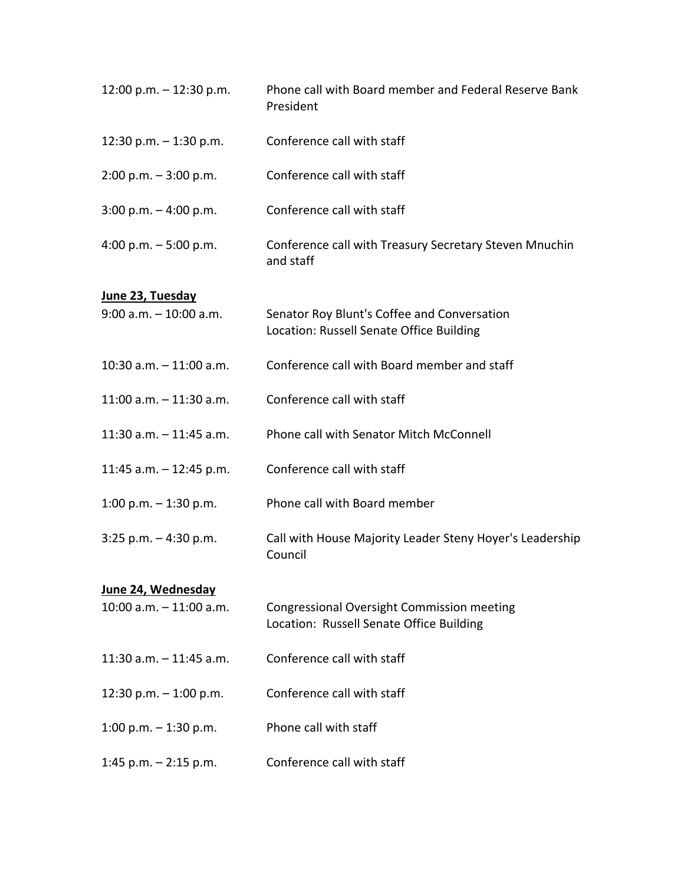| 12:00 p.m. $-$ 12:30 p.m.                     | Phone call with Board member and Federal Reserve Bank<br>President                            |
|-----------------------------------------------|-----------------------------------------------------------------------------------------------|
| 12:30 p.m. $-$ 1:30 p.m.                      | Conference call with staff                                                                    |
| $2:00$ p.m. $-3:00$ p.m.                      | Conference call with staff                                                                    |
| $3:00$ p.m. $-4:00$ p.m.                      | Conference call with staff                                                                    |
| 4:00 p.m. $-5:00$ p.m.                        | Conference call with Treasury Secretary Steven Mnuchin<br>and staff                           |
| June 23, Tuesday<br>$9:00$ a.m. $-10:00$ a.m. | Senator Roy Blunt's Coffee and Conversation<br>Location: Russell Senate Office Building       |
| $10:30$ a.m. $-11:00$ a.m.                    | Conference call with Board member and staff                                                   |
| $11:00$ a.m. $-11:30$ a.m.                    | Conference call with staff                                                                    |
| 11:30 a.m. $-$ 11:45 a.m.                     | Phone call with Senator Mitch McConnell                                                       |
| 11:45 a.m. $-$ 12:45 p.m.                     | Conference call with staff                                                                    |
| 1:00 p.m. $-$ 1:30 p.m.                       | Phone call with Board member                                                                  |
| $3:25$ p.m. $-4:30$ p.m.                      | Call with House Majority Leader Steny Hoyer's Leadership<br>Council                           |
| June 24, Wednesday                            |                                                                                               |
| $10:00$ a.m. $-11:00$ a.m.                    | <b>Congressional Oversight Commission meeting</b><br>Location: Russell Senate Office Building |
| 11:30 a.m. $-$ 11:45 a.m.                     | Conference call with staff                                                                    |
| 12:30 p.m. $-$ 1:00 p.m.                      | Conference call with staff                                                                    |
| 1:00 p.m. $-$ 1:30 p.m.                       | Phone call with staff                                                                         |
| 1:45 p.m. $-$ 2:15 p.m.                       | Conference call with staff                                                                    |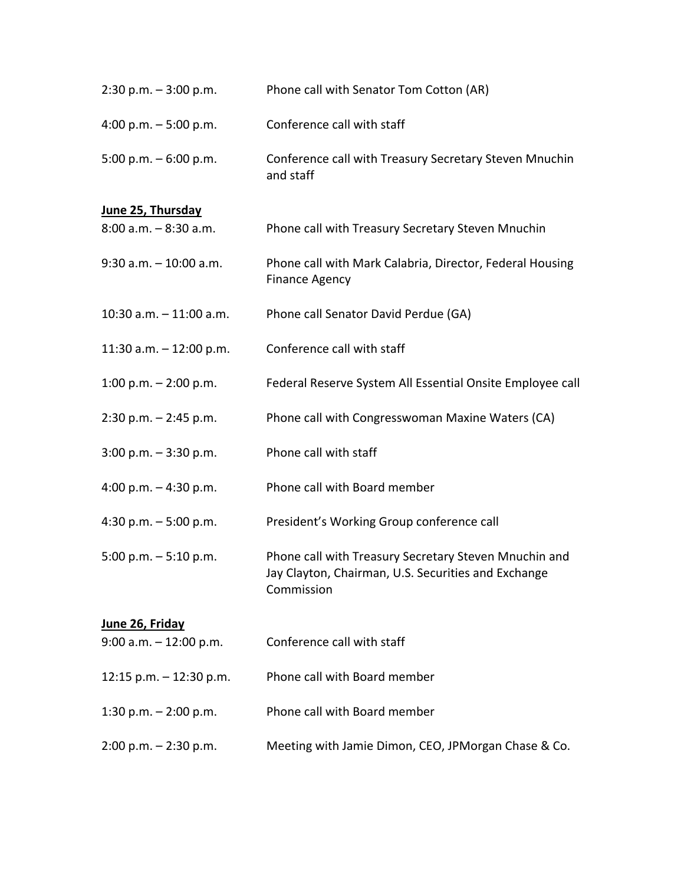| $2:30$ p.m. $-3:00$ p.m.   | Phone call with Senator Tom Cotton (AR)                                                                                    |
|----------------------------|----------------------------------------------------------------------------------------------------------------------------|
| 4:00 p.m. $-5:00$ p.m.     | Conference call with staff                                                                                                 |
| 5:00 p.m. $-6:00$ p.m.     | Conference call with Treasury Secretary Steven Mnuchin<br>and staff                                                        |
| June 25, Thursday          |                                                                                                                            |
| $8:00$ a.m. $-8:30$ a.m.   | Phone call with Treasury Secretary Steven Mnuchin                                                                          |
| $9:30$ a.m. $-10:00$ a.m.  | Phone call with Mark Calabria, Director, Federal Housing<br><b>Finance Agency</b>                                          |
| $10:30$ a.m. $-11:00$ a.m. | Phone call Senator David Perdue (GA)                                                                                       |
| 11:30 a.m. $-$ 12:00 p.m.  | Conference call with staff                                                                                                 |
| 1:00 p.m. $-$ 2:00 p.m.    | Federal Reserve System All Essential Onsite Employee call                                                                  |
| $2:30$ p.m. $-2:45$ p.m.   | Phone call with Congresswoman Maxine Waters (CA)                                                                           |
| $3:00$ p.m. $-3:30$ p.m.   | Phone call with staff                                                                                                      |
| 4:00 p.m. $-$ 4:30 p.m.    | Phone call with Board member                                                                                               |
| 4:30 p.m. $-5:00$ p.m.     | President's Working Group conference call                                                                                  |
| 5:00 p.m. $-5:10$ p.m.     | Phone call with Treasury Secretary Steven Mnuchin and<br>Jay Clayton, Chairman, U.S. Securities and Exchange<br>Commission |
| June 26, Friday            |                                                                                                                            |
| $9:00$ a.m. $-12:00$ p.m.  | Conference call with staff                                                                                                 |
| 12:15 p.m. $-$ 12:30 p.m.  | Phone call with Board member                                                                                               |
| 1:30 p.m. $- 2:00$ p.m.    | Phone call with Board member                                                                                               |
| $2:00$ p.m. $- 2:30$ p.m.  | Meeting with Jamie Dimon, CEO, JPMorgan Chase & Co.                                                                        |